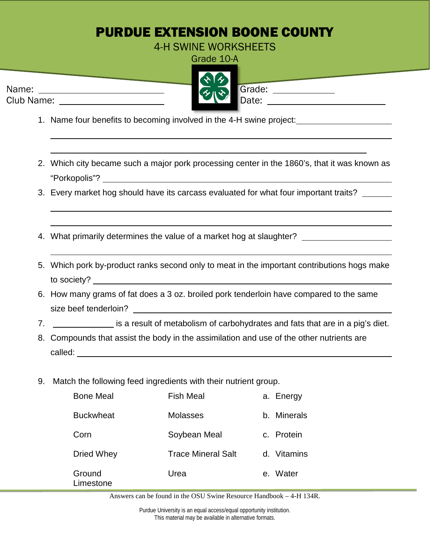## PURDUE EXTENSION BOONE COUNTY

4-H SWINE WORKSHEETS

Grade 10-A

|            | ふみ                                  |        |
|------------|-------------------------------------|--------|
| Name:      | $\left\langle \gamma \right\rangle$ | Grade: |
| Club Name: |                                     | Date:  |
|            |                                     |        |

- 1. Name four benefits to becoming involved in the 4-H swine project:
- 2. Which city became such a major pork processing center in the 1860's, that it was known as "Porkopolis"?
- 3. Every market hog should have its carcass evaluated for what four important traits?
- 4. What primarily determines the value of a market hog at slaughter?
- 5. Which pork by-product ranks second only to meat in the important contributions hogs make to society?
- 6. How many grams of fat does a 3 oz. broiled pork tenderloin have compared to the same size beef tenderloin?
- 7. is a result of metabolism of carbohydrates and fats that are in a pig's diet.
- 8. Compounds that assist the body in the assimilation and use of the other nutrients are called:
- 9. Match the following feed ingredients with their nutrient group.

| <b>Bone Meal</b>    | <b>Fish Meal</b>          | a. Energy   |
|---------------------|---------------------------|-------------|
| <b>Buckwheat</b>    | Molasses                  | b. Minerals |
| Corn                | Soybean Meal              | c. Protein  |
| Dried Whey          | <b>Trace Mineral Salt</b> | d. Vitamins |
| Ground<br>Limestone | Urea                      | e. Water    |

Answers can be found in the OSU Swine Resource Handbook – 4-H 134R.